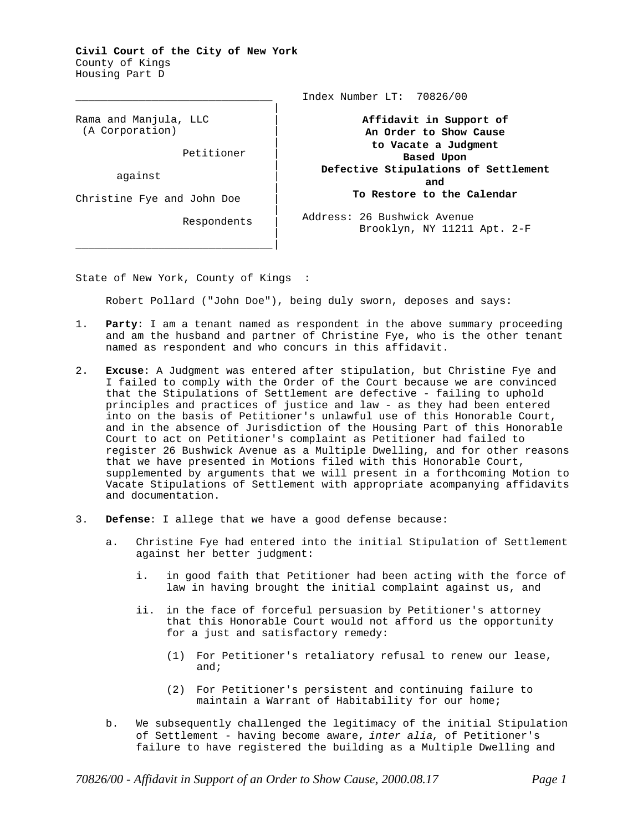**Civil Court of the City of New York** County of Kings Housing Part D

\_\_\_\_\_\_\_\_\_\_\_\_\_\_\_\_\_\_\_\_\_\_\_\_\_\_\_\_\_\_\_

Rama and Manjula, LLC | (A Corporation) |

Petitioner |

against |

Christine Fye and John Doe |

Respondents |

Index Number LT: 70826/00

**Affidavit in Support of An Order to Show Cause to Vacate a Judgment Based Upon Defective Stipulations of Settlement and To Restore to the Calendar**

Address: 26 Bushwick Avenue Brooklyn, NY 11211 Apt. 2-F

State of New York, County of Kings :

\_\_\_\_\_\_\_\_\_\_\_\_\_\_\_\_\_\_\_\_\_\_\_\_\_\_\_\_\_\_\_|

Robert Pollard ("John Doe"), being duly sworn, deposes and says:

|

|

|

|

|

|

- 1. **Party**: I am a tenant named as respondent in the above summary proceeding and am the husband and partner of Christine Fye, who is the other tenant named as respondent and who concurs in this affidavit.
- 2. **Excuse**: A Judgment was entered after stipulation, but Christine Fye and I failed to comply with the Order of the Court because we are convinced that the Stipulations of Settlement are defective - failing to uphold principles and practices of justice and law - as they had been entered into on the basis of Petitioner's unlawful use of this Honorable Court, and in the absence of Jurisdiction of the Housing Part of this Honorable Court to act on Petitioner's complaint as Petitioner had failed to register 26 Bushwick Avenue as a Multiple Dwelling, and for other reasons that we have presented in Motions filed with this Honorable Court, supplemented by arguments that we will present in a forthcoming Motion to Vacate Stipulations of Settlement with appropriate acompanying affidavits and documentation.
- 3. **Defense**: I allege that we have a good defense because:
	- a. Christine Fye had entered into the initial Stipulation of Settlement against her better judgment:
		- i. in good faith that Petitioner had been acting with the force of law in having brought the initial complaint against us, and
		- ii. in the face of forceful persuasion by Petitioner's attorney that this Honorable Court would not afford us the opportunity for a just and satisfactory remedy:
			- (1) For Petitioner's retaliatory refusal to renew our lease, and;
			- (2) For Petitioner's persistent and continuing failure to maintain a Warrant of Habitability for our home;
	- b. We subsequently challenged the legitimacy of the initial Stipulation of Settlement - having become aware, *inter alia*, of Petitioner's failure to have registered the building as a Multiple Dwelling and

*70826/00 - Affidavit in Support of an Order to Show Cause, 2000.08.17 Page 1*